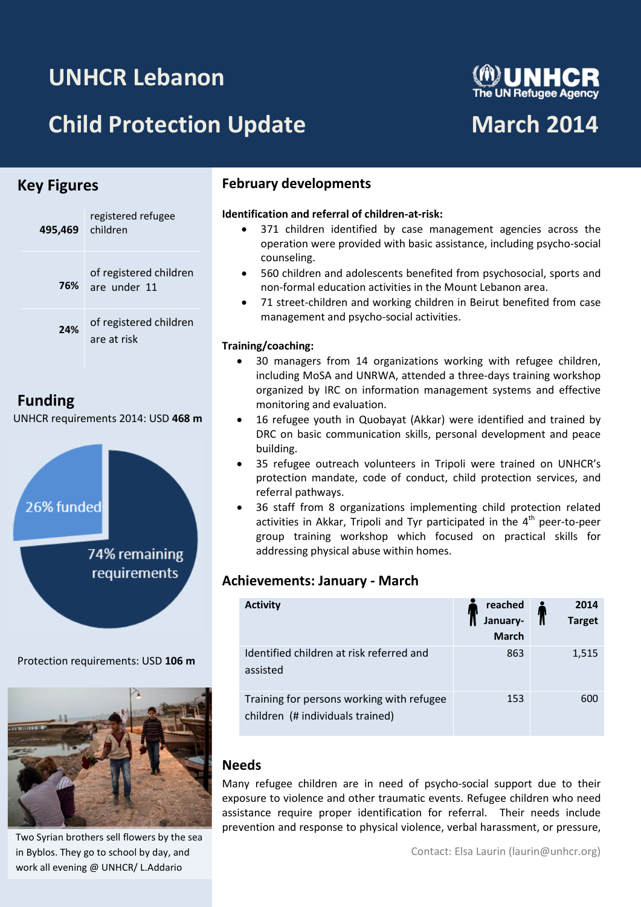# **UNHCR Lebanon**

# **Child Protection Update March 2014**

# **Key Figures**

| 495,469 children | registered refugee                         |
|------------------|--------------------------------------------|
|                  | of registered children<br>76% are under 11 |
| 24%              | of registered children<br>are at risk      |

# **Funding**

UNHCR requirements 2014: USD **468 m**



Protection requirements: USD **106 m**



Two Syrian brothers sell flowers by the sea in Byblos. They go to school by day, and work all evening @ UNHCR/ L.Addario

## **February developments**

# **Identification and referral of children-at-risk:**

- 371 children identified by case management agencies across the operation were provided with basic assistance, including psycho-social counseling.
- 560 children and adolescents benefited from psychosocial, sports and non-formal education activities in the Mount Lebanon area.
- 71 street-children and working children in Beirut benefited from case management and psycho-social activities.

#### **Training/coaching:**

- 30 managers from 14 organizations working with refugee children, including MoSA and UNRWA, attended a three-days training workshop organized by IRC on information management systems and effective monitoring and evaluation.
- 16 refugee youth in Quobayat (Akkar) were identified and trained by DRC on basic communication skills, personal development and peace building.
- 35 refugee outreach volunteers in Tripoli were trained on UNHCR's protection mandate, code of conduct, child protection services, and referral pathways.
- 36 staff from 8 organizations implementing child protection related activities in Akkar, Tripoli and Tyr participated in the 4<sup>th</sup> peer-to-peer group training workshop which focused on practical skills for addressing physical abuse within homes.

# **Achievements: January - March**

| <b>Activity</b>                                                               | reached<br>January-<br><b>March</b> | 2014<br><b>Target</b> |
|-------------------------------------------------------------------------------|-------------------------------------|-----------------------|
| Identified children at risk referred and<br>assisted                          | 863                                 | 1,515                 |
| Training for persons working with refugee<br>children (# individuals trained) | 153                                 | 600                   |

## **Needs**

Many refugee children are in need of psycho-social support due to their exposure to violence and other traumatic events. Refugee children who need assistance require proper identification for referral. Their needs include prevention and response to physical violence, verbal harassment, or pressure,